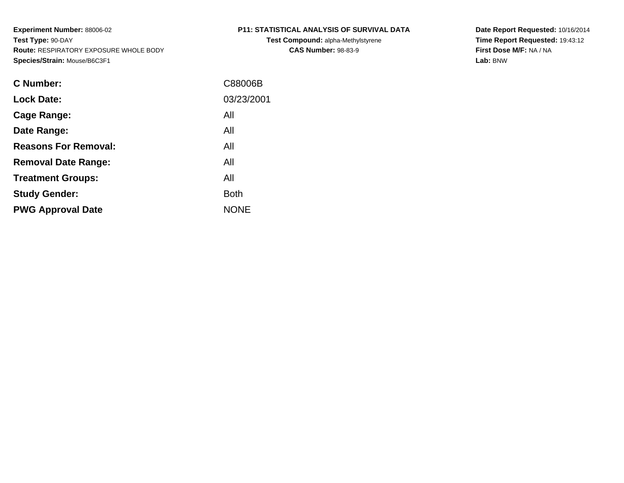**Test Compound:** alpha-Methylstyrene**CAS Number:** 98-83-9

**Date Report Requested:** 10/16/2014 **Time Report Requested:** 19:43:12**First Dose M/F:** NA / NA**Lab:** BNW

| C Number:                   | C88006B     |
|-----------------------------|-------------|
| <b>Lock Date:</b>           | 03/23/2001  |
| Cage Range:                 | All         |
| Date Range:                 | All         |
| <b>Reasons For Removal:</b> | All         |
| <b>Removal Date Range:</b>  | All         |
| <b>Treatment Groups:</b>    | All         |
| <b>Study Gender:</b>        | <b>Both</b> |
| <b>PWG Approval Date</b>    | <b>NONE</b> |
|                             |             |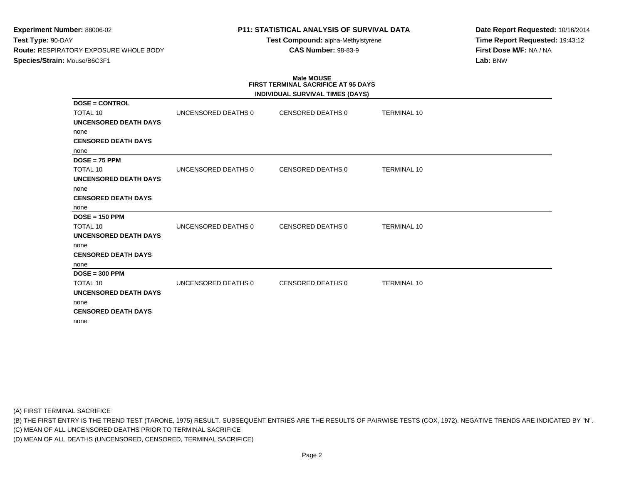# **P11: STATISTICAL ANALYSIS OF SURVIVAL DATA**

**Test Compound:** alpha-Methylstyrene**CAS Number:** 98-83-9

**Date Report Requested:** 10/16/2014**Time Report Requested:** 19:43:12**First Dose M/F:** NA / NA**Lab:** BNW

# **Male MOUSEFIRST TERMINAL SACRIFICE AT 95 DAYS**

|                              |                     | <b>INDIVIDUAL SURVIVAL TIMES (DAYS)</b> |                    |
|------------------------------|---------------------|-----------------------------------------|--------------------|
| <b>DOSE = CONTROL</b>        |                     |                                         |                    |
| TOTAL 10                     | UNCENSORED DEATHS 0 | CENSORED DEATHS 0                       | <b>TERMINAL 10</b> |
| <b>UNCENSORED DEATH DAYS</b> |                     |                                         |                    |
| none                         |                     |                                         |                    |
| <b>CENSORED DEATH DAYS</b>   |                     |                                         |                    |
| none                         |                     |                                         |                    |
| $DOSE = 75$ PPM              |                     |                                         |                    |
| <b>TOTAL 10</b>              | UNCENSORED DEATHS 0 | <b>CENSORED DEATHS 0</b>                | <b>TERMINAL 10</b> |
| <b>UNCENSORED DEATH DAYS</b> |                     |                                         |                    |
| none                         |                     |                                         |                    |
| <b>CENSORED DEATH DAYS</b>   |                     |                                         |                    |
| none                         |                     |                                         |                    |
| $DOSE = 150$ PPM             |                     |                                         |                    |
| TOTAL 10                     | UNCENSORED DEATHS 0 | <b>CENSORED DEATHS 0</b>                | <b>TERMINAL 10</b> |
| <b>UNCENSORED DEATH DAYS</b> |                     |                                         |                    |
| none                         |                     |                                         |                    |
| <b>CENSORED DEATH DAYS</b>   |                     |                                         |                    |
| none                         |                     |                                         |                    |
| $DOSE = 300$ PPM             |                     |                                         |                    |
| <b>TOTAL 10</b>              | UNCENSORED DEATHS 0 | CENSORED DEATHS 0                       | <b>TERMINAL 10</b> |
| UNCENSORED DEATH DAYS        |                     |                                         |                    |
| none                         |                     |                                         |                    |
| <b>CENSORED DEATH DAYS</b>   |                     |                                         |                    |
| none                         |                     |                                         |                    |

(A) FIRST TERMINAL SACRIFICE

(B) THE FIRST ENTRY IS THE TREND TEST (TARONE, 1975) RESULT. SUBSEQUENT ENTRIES ARE THE RESULTS OF PAIRWISE TESTS (COX, 1972). NEGATIVE TRENDS ARE INDICATED BY "N".

(C) MEAN OF ALL UNCENSORED DEATHS PRIOR TO TERMINAL SACRIFICE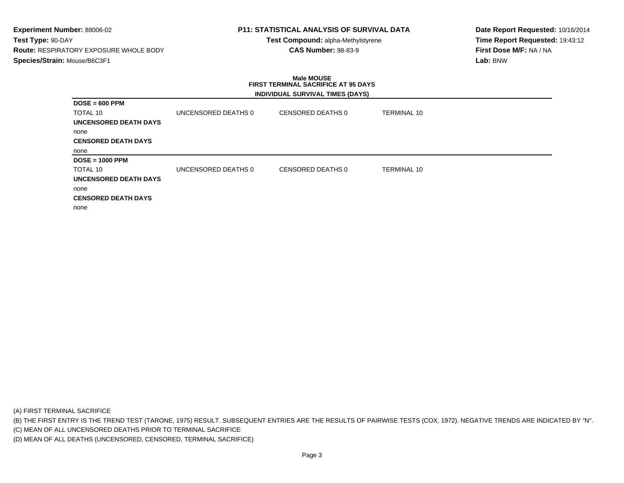# **P11: STATISTICAL ANALYSIS OF SURVIVAL DATA**

**Test Compound:** alpha-Methylstyrene**CAS Number:** 98-83-9

**Date Report Requested:** 10/16/2014**Time Report Requested:** 19:43:12**First Dose M/F:** NA / NA**Lab:** BNW

### **Male MOUSE FIRST TERMINAL SACRIFICE AT 95 DAYSINDIVIDUAL SURVIVAL TIMES (DAYS)**

| $DOSE = 600$ PPM           |                     |                   |                    |
|----------------------------|---------------------|-------------------|--------------------|
| TOTAL 10                   | UNCENSORED DEATHS 0 | CENSORED DEATHS 0 | TERMINAL 10        |
| UNCENSORED DEATH DAYS      |                     |                   |                    |
| none                       |                     |                   |                    |
| <b>CENSORED DEATH DAYS</b> |                     |                   |                    |
| none                       |                     |                   |                    |
| $DOSE = 1000$ PPM          |                     |                   |                    |
| TOTAL 10                   | UNCENSORED DEATHS 0 | CENSORED DEATHS 0 | <b>TERMINAL 10</b> |
| UNCENSORED DEATH DAYS      |                     |                   |                    |
| none                       |                     |                   |                    |
| <b>CENSORED DEATH DAYS</b> |                     |                   |                    |
| none                       |                     |                   |                    |

(A) FIRST TERMINAL SACRIFICE

(B) THE FIRST ENTRY IS THE TREND TEST (TARONE, 1975) RESULT. SUBSEQUENT ENTRIES ARE THE RESULTS OF PAIRWISE TESTS (COX, 1972). NEGATIVE TRENDS ARE INDICATED BY "N".

(C) MEAN OF ALL UNCENSORED DEATHS PRIOR TO TERMINAL SACRIFICE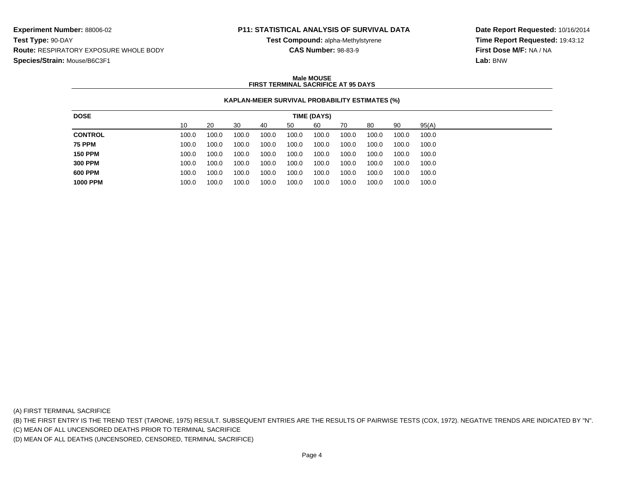## **P11: STATISTICAL ANALYSIS OF SURVIVAL DATA**

**Test Compound:** alpha-Methylstyrene**CAS Number:** 98-83-9

**Date Report Requested:** 10/16/2014**Time Report Requested:** 19:43:12**First Dose M/F:** NA / NA**Lab:** BNW

### **Male MOUSEFIRST TERMINAL SACRIFICE AT 95 DAYS**

## **KAPLAN-MEIER SURVIVAL PROBABILITY ESTIMATES (%)**

| 90<br>10<br>60<br>95(A)<br>20<br>30<br>70<br>80<br>50<br>40<br>100.0<br>100.0<br>100.0<br>100.0<br>100.0<br>100.0<br>100.0<br>100.0<br>100.0<br>100.0<br>100.0<br>100.0<br>100.0<br>100.0<br>100.0<br>100.0<br>100.0<br>100.0<br>100.0<br>100.0<br>100.0<br>100.0<br>100.0<br>100.0<br>100.0<br>100.0<br>100.0<br>100.0<br>100.0<br>100.0<br>100.0<br>100.0<br>100.0<br>100.0<br>100.0<br>100.0<br>100.0<br>100.0<br>100.0<br>100.0<br>100.0<br>100.0<br>100.0<br>100.0<br>100.0<br>100.0<br>100.0<br>100.0<br>100.0<br>100.0<br>100.0<br>100.0<br>100.0<br>100.0<br>100.0<br>100.0<br>100.0<br>100.0<br>100.0<br>100.0 | <b>DOSE</b>    |  |  | TIME (DAYS) |  |  |
|-------------------------------------------------------------------------------------------------------------------------------------------------------------------------------------------------------------------------------------------------------------------------------------------------------------------------------------------------------------------------------------------------------------------------------------------------------------------------------------------------------------------------------------------------------------------------------------------------------------------------|----------------|--|--|-------------|--|--|
|                                                                                                                                                                                                                                                                                                                                                                                                                                                                                                                                                                                                                         |                |  |  |             |  |  |
| <b>75 PPM</b><br><b>150 PPM</b><br><b>300 PPM</b><br>600 PPM<br><b>1000 PPM</b>                                                                                                                                                                                                                                                                                                                                                                                                                                                                                                                                         | <b>CONTROL</b> |  |  |             |  |  |
|                                                                                                                                                                                                                                                                                                                                                                                                                                                                                                                                                                                                                         |                |  |  |             |  |  |
|                                                                                                                                                                                                                                                                                                                                                                                                                                                                                                                                                                                                                         |                |  |  |             |  |  |
|                                                                                                                                                                                                                                                                                                                                                                                                                                                                                                                                                                                                                         |                |  |  |             |  |  |
|                                                                                                                                                                                                                                                                                                                                                                                                                                                                                                                                                                                                                         |                |  |  |             |  |  |
|                                                                                                                                                                                                                                                                                                                                                                                                                                                                                                                                                                                                                         |                |  |  |             |  |  |

(A) FIRST TERMINAL SACRIFICE

(B) THE FIRST ENTRY IS THE TREND TEST (TARONE, 1975) RESULT. SUBSEQUENT ENTRIES ARE THE RESULTS OF PAIRWISE TESTS (COX, 1972). NEGATIVE TRENDS ARE INDICATED BY "N".

(C) MEAN OF ALL UNCENSORED DEATHS PRIOR TO TERMINAL SACRIFICE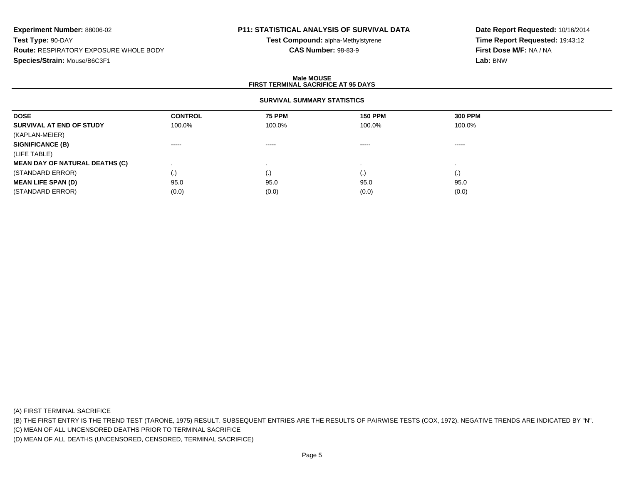# **P11: STATISTICAL ANALYSIS OF SURVIVAL DATA**

**Test Compound:** alpha-Methylstyrene**CAS Number:** 98-83-9

**Date Report Requested:** 10/16/2014**Time Report Requested:** 19:43:12**First Dose M/F:** NA / NA**Lab:** BNW

### **Male MOUSEFIRST TERMINAL SACRIFICE AT 95 DAYS**

## **SURVIVAL SUMMARY STATISTICS**

| <b>DOSE</b>                           | <b>CONTROL</b>         | <b>75 PPM</b>          | <b>150 PPM</b> | <b>300 PPM</b>     |  |
|---------------------------------------|------------------------|------------------------|----------------|--------------------|--|
| SURVIVAL AT END OF STUDY              | 100.0%                 | 100.0%                 | 100.0%         | 100.0%             |  |
| (KAPLAN-MEIER)                        |                        |                        |                |                    |  |
| <b>SIGNIFICANCE (B)</b>               | $\cdots \cdots \cdots$ | $\cdots \cdots \cdots$ | -----          | -----              |  |
| (LIFE TABLE)                          |                        |                        |                |                    |  |
| <b>MEAN DAY OF NATURAL DEATHS (C)</b> |                        |                        |                |                    |  |
| (STANDARD ERROR)                      | $\left( .\right)$      | (.)                    | (.)            | $\left( . \right)$ |  |
| <b>MEAN LIFE SPAN (D)</b>             | 95.0                   | 95.0                   | 95.0           | 95.0               |  |
| (STANDARD ERROR)                      | (0.0)                  | (0.0)                  | (0.0)          | (0.0)              |  |

(A) FIRST TERMINAL SACRIFICE

(B) THE FIRST ENTRY IS THE TREND TEST (TARONE, 1975) RESULT. SUBSEQUENT ENTRIES ARE THE RESULTS OF PAIRWISE TESTS (COX, 1972). NEGATIVE TRENDS ARE INDICATED BY "N".

(C) MEAN OF ALL UNCENSORED DEATHS PRIOR TO TERMINAL SACRIFICE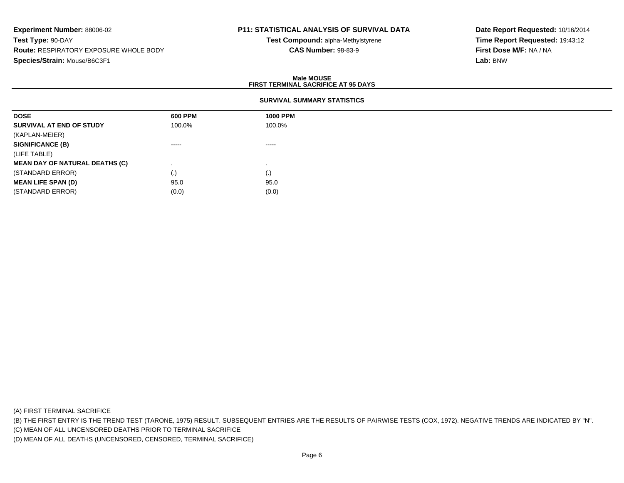# **P11: STATISTICAL ANALYSIS OF SURVIVAL DATA**

**Test Compound:** alpha-Methylstyrene**CAS Number:** 98-83-9

**Date Report Requested:** 10/16/2014**Time Report Requested:** 19:43:12**First Dose M/F:** NA / NA**Lab:** BNW

#### **Male MOUSEFIRST TERMINAL SACRIFICE AT 95 DAYS**

## **SURVIVAL SUMMARY STATISTICS**

| <b>DOSE</b>                           | 600 PPM            | <b>1000 PPM</b> |
|---------------------------------------|--------------------|-----------------|
| SURVIVAL AT END OF STUDY              | 100.0%             | 100.0%          |
| (KAPLAN-MEIER)                        |                    |                 |
| <b>SIGNIFICANCE (B)</b>               | $\cdots$           | $- - - - -$     |
| (LIFE TABLE)                          |                    |                 |
| <b>MEAN DAY OF NATURAL DEATHS (C)</b> |                    |                 |
| (STANDARD ERROR)                      | $\left( . \right)$ | (.)             |
| <b>MEAN LIFE SPAN (D)</b>             | 95.0               | 95.0            |
| (STANDARD ERROR)                      | (0.0)              | (0.0)           |

(A) FIRST TERMINAL SACRIFICE

(B) THE FIRST ENTRY IS THE TREND TEST (TARONE, 1975) RESULT. SUBSEQUENT ENTRIES ARE THE RESULTS OF PAIRWISE TESTS (COX, 1972). NEGATIVE TRENDS ARE INDICATED BY "N".

(C) MEAN OF ALL UNCENSORED DEATHS PRIOR TO TERMINAL SACRIFICE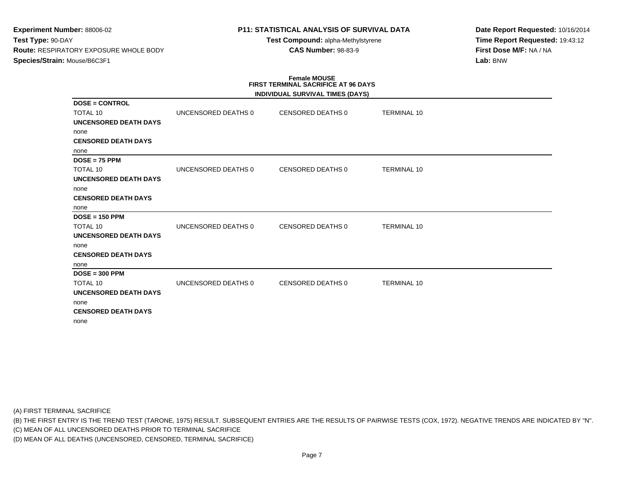# **P11: STATISTICAL ANALYSIS OF SURVIVAL DATA**

**Test Compound:** alpha-Methylstyrene**CAS Number:** 98-83-9

**Date Report Requested:** 10/16/2014**Time Report Requested:** 19:43:12**First Dose M/F:** NA / NA**Lab:** BNW

# **Female MOUSE FIRST TERMINAL SACRIFICE AT 96 DAYS**

|                              |                     | INDIVIDUAL SURVIVAL TIMES (DAYS) |                    |  |
|------------------------------|---------------------|----------------------------------|--------------------|--|
| $DOSE = CONTROL$             |                     |                                  |                    |  |
| <b>TOTAL 10</b>              | UNCENSORED DEATHS 0 | CENSORED DEATHS 0                | <b>TERMINAL 10</b> |  |
| UNCENSORED DEATH DAYS        |                     |                                  |                    |  |
| none                         |                     |                                  |                    |  |
| <b>CENSORED DEATH DAYS</b>   |                     |                                  |                    |  |
| none                         |                     |                                  |                    |  |
| $DOSE = 75$ PPM              |                     |                                  |                    |  |
| <b>TOTAL 10</b>              | UNCENSORED DEATHS 0 | CENSORED DEATHS 0                | <b>TERMINAL 10</b> |  |
| <b>UNCENSORED DEATH DAYS</b> |                     |                                  |                    |  |
| none                         |                     |                                  |                    |  |
| <b>CENSORED DEATH DAYS</b>   |                     |                                  |                    |  |
| none                         |                     |                                  |                    |  |
| $DOSE = 150$ PPM             |                     |                                  |                    |  |
| TOTAL 10                     | UNCENSORED DEATHS 0 | CENSORED DEATHS 0                | <b>TERMINAL 10</b> |  |
| <b>UNCENSORED DEATH DAYS</b> |                     |                                  |                    |  |
| none                         |                     |                                  |                    |  |
| <b>CENSORED DEATH DAYS</b>   |                     |                                  |                    |  |
| none                         |                     |                                  |                    |  |
| $DOSE = 300$ PPM             |                     |                                  |                    |  |
| TOTAL 10                     | UNCENSORED DEATHS 0 | CENSORED DEATHS 0                | <b>TERMINAL 10</b> |  |
| <b>UNCENSORED DEATH DAYS</b> |                     |                                  |                    |  |
| none                         |                     |                                  |                    |  |
| <b>CENSORED DEATH DAYS</b>   |                     |                                  |                    |  |
| none                         |                     |                                  |                    |  |

(A) FIRST TERMINAL SACRIFICE

(B) THE FIRST ENTRY IS THE TREND TEST (TARONE, 1975) RESULT. SUBSEQUENT ENTRIES ARE THE RESULTS OF PAIRWISE TESTS (COX, 1972). NEGATIVE TRENDS ARE INDICATED BY "N".

(C) MEAN OF ALL UNCENSORED DEATHS PRIOR TO TERMINAL SACRIFICE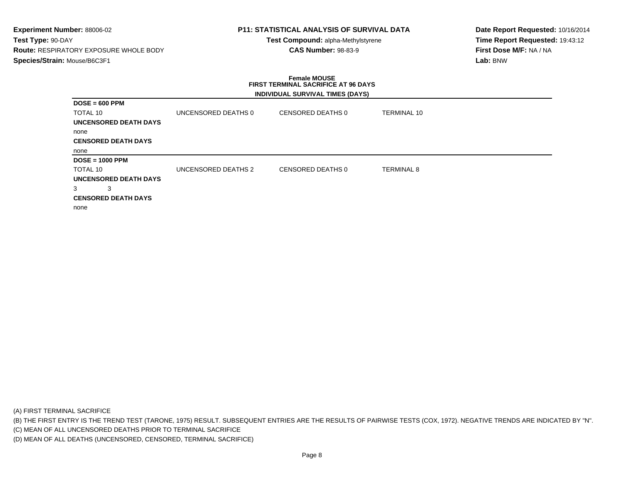# **P11: STATISTICAL ANALYSIS OF SURVIVAL DATA**

**Test Compound:** alpha-Methylstyrene**CAS Number:** 98-83-9

**Date Report Requested:** 10/16/2014**Time Report Requested:** 19:43:12**First Dose M/F:** NA / NA**Lab:** BNW

### **Female MOUSE FIRST TERMINAL SACRIFICE AT 96 DAYSINDIVIDUAL SURVIVAL TIMES (DAYS)**

| $DOSE = 600$ PPM           |                     |                   |                    |
|----------------------------|---------------------|-------------------|--------------------|
| <b>TOTAL 10</b>            | UNCENSORED DEATHS 0 | CENSORED DEATHS 0 | <b>TERMINAL 10</b> |
| UNCENSORED DEATH DAYS      |                     |                   |                    |
| none                       |                     |                   |                    |
| <b>CENSORED DEATH DAYS</b> |                     |                   |                    |
| none                       |                     |                   |                    |
| $DOSE = 1000$ PPM          |                     |                   |                    |
| TOTAL 10                   | UNCENSORED DEATHS 2 | CENSORED DEATHS 0 | <b>TERMINAL 8</b>  |
| UNCENSORED DEATH DAYS      |                     |                   |                    |
| 3<br>3                     |                     |                   |                    |
| <b>CENSORED DEATH DAYS</b> |                     |                   |                    |
| none                       |                     |                   |                    |

(A) FIRST TERMINAL SACRIFICE

(B) THE FIRST ENTRY IS THE TREND TEST (TARONE, 1975) RESULT. SUBSEQUENT ENTRIES ARE THE RESULTS OF PAIRWISE TESTS (COX, 1972). NEGATIVE TRENDS ARE INDICATED BY "N".

(C) MEAN OF ALL UNCENSORED DEATHS PRIOR TO TERMINAL SACRIFICE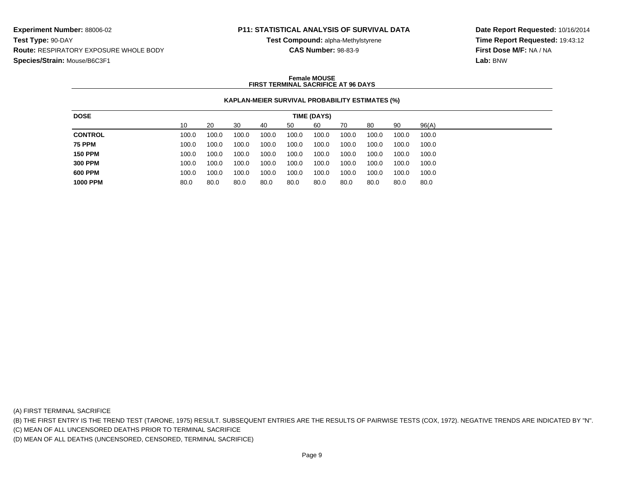## **P11: STATISTICAL ANALYSIS OF SURVIVAL DATA**

**Test Compound:** alpha-Methylstyrene**CAS Number:** 98-83-9

**Date Report Requested:** 10/16/2014**Time Report Requested:** 19:43:12**First Dose M/F:** NA / NA**Lab:** BNW

## **Female MOUSEFIRST TERMINAL SACRIFICE AT 96 DAYS**

## **KAPLAN-MEIER SURVIVAL PROBABILITY ESTIMATES (%)**

| <b>DOSE</b>     |       |       |       |       |       | TIME (DAYS) |       |       |       |       |
|-----------------|-------|-------|-------|-------|-------|-------------|-------|-------|-------|-------|
|                 | 10    | 20    | 30    | 40    | 50    | 60          | 70    | 80    | 90    | 96(A) |
| <b>CONTROL</b>  | 100.0 | 100.0 | 100.0 | 100.0 | 100.0 | 100.0       | 100.0 | 100.0 | 100.0 | 100.0 |
| <b>75 PPM</b>   | 100.0 | 100.0 | 100.0 | 100.0 | 100.0 | 100.0       | 100.0 | 100.0 | 100.0 | 100.0 |
| <b>150 PPM</b>  | 100.0 | 100.0 | 100.0 | 100.0 | 100.0 | 100.0       | 100.0 | 100.0 | 100.0 | 100.0 |
| <b>300 PPM</b>  | 100.0 | 100.0 | 100.0 | 100.0 | 100.0 | 100.0       | 100.0 | 100.0 | 100.0 | 100.0 |
| 600 PPM         | 100.0 | 100.0 | 100.0 | 100.0 | 100.0 | 100.0       | 100.0 | 100.0 | 100.0 | 100.0 |
| <b>1000 PPM</b> | 80.0  | 80.0  | 80.0  | 80.0  | 80.0  | 80.0        | 80.0  | 80.0  | 80.0  | 80.0  |
|                 |       |       |       |       |       |             |       |       |       |       |

(A) FIRST TERMINAL SACRIFICE

(B) THE FIRST ENTRY IS THE TREND TEST (TARONE, 1975) RESULT. SUBSEQUENT ENTRIES ARE THE RESULTS OF PAIRWISE TESTS (COX, 1972). NEGATIVE TRENDS ARE INDICATED BY "N".

(C) MEAN OF ALL UNCENSORED DEATHS PRIOR TO TERMINAL SACRIFICE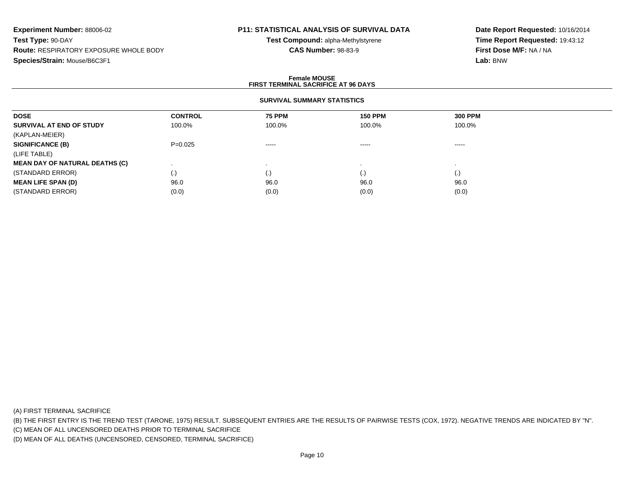# **P11: STATISTICAL ANALYSIS OF SURVIVAL DATA**

**Test Compound:** alpha-Methylstyrene**CAS Number:** 98-83-9

**Date Report Requested:** 10/16/2014**Time Report Requested:** 19:43:12**First Dose M/F:** NA / NA**Lab:** BNW

### **Female MOUSEFIRST TERMINAL SACRIFICE AT 96 DAYS**

## **SURVIVAL SUMMARY STATISTICS**

| <b>DOSE</b>                           | <b>CONTROL</b> | <b>75 PPM</b> | <b>150 PPM</b> | <b>300 PPM</b> |  |
|---------------------------------------|----------------|---------------|----------------|----------------|--|
| SURVIVAL AT END OF STUDY              | 100.0%         | 100.0%        | 100.0%         | 100.0%         |  |
| (KAPLAN-MEIER)                        |                |               |                |                |  |
| <b>SIGNIFICANCE (B)</b>               | $P=0.025$      | $\cdots$      | -----          | -----          |  |
| (LIFE TABLE)                          |                |               |                |                |  |
| <b>MEAN DAY OF NATURAL DEATHS (C)</b> |                |               |                |                |  |
| (STANDARD ERROR)                      | $\cdot$        | .)            | (.)            | (.)            |  |
| <b>MEAN LIFE SPAN (D)</b>             | 96.0           | 96.0          | 96.0           | 96.0           |  |
| (STANDARD ERROR)                      | (0.0)          | (0.0)         | (0.0)          | (0.0)          |  |

(A) FIRST TERMINAL SACRIFICE

(B) THE FIRST ENTRY IS THE TREND TEST (TARONE, 1975) RESULT. SUBSEQUENT ENTRIES ARE THE RESULTS OF PAIRWISE TESTS (COX, 1972). NEGATIVE TRENDS ARE INDICATED BY "N".

(C) MEAN OF ALL UNCENSORED DEATHS PRIOR TO TERMINAL SACRIFICE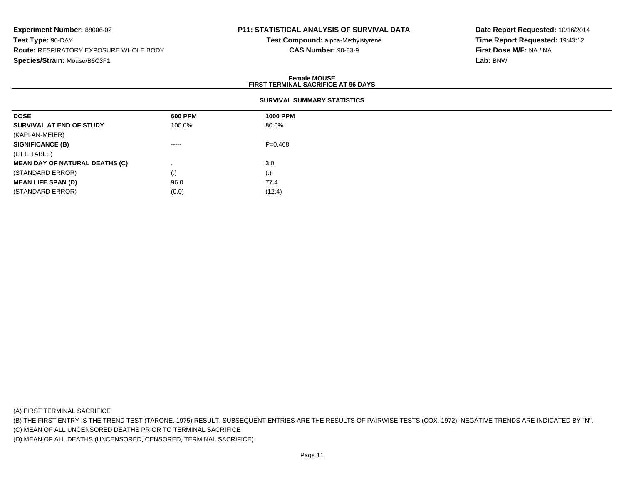# **P11: STATISTICAL ANALYSIS OF SURVIVAL DATA**

**Test Compound:** alpha-Methylstyrene**CAS Number:** 98-83-9

**Date Report Requested:** 10/16/2014**Time Report Requested:** 19:43:12**First Dose M/F:** NA / NA**Lab:** BNW

### **Female MOUSEFIRST TERMINAL SACRIFICE AT 96 DAYS**

## **SURVIVAL SUMMARY STATISTICS**

| <b>DOSE</b>                           | 600 PPM                                                                                                                                                                                                                                                                                                                                                                                                                                                                                | <b>1000 PPM</b> |  |  |
|---------------------------------------|----------------------------------------------------------------------------------------------------------------------------------------------------------------------------------------------------------------------------------------------------------------------------------------------------------------------------------------------------------------------------------------------------------------------------------------------------------------------------------------|-----------------|--|--|
| SURVIVAL AT END OF STUDY              | 100.0%                                                                                                                                                                                                                                                                                                                                                                                                                                                                                 | 80.0%           |  |  |
| (KAPLAN-MEIER)                        |                                                                                                                                                                                                                                                                                                                                                                                                                                                                                        |                 |  |  |
| <b>SIGNIFICANCE (B)</b>               | $\begin{array}{cccccccccccccc} \multicolumn{2}{c}{} & \multicolumn{2}{c}{} & \multicolumn{2}{c}{} & \multicolumn{2}{c}{} & \multicolumn{2}{c}{} & \multicolumn{2}{c}{} & \multicolumn{2}{c}{} & \multicolumn{2}{c}{} & \multicolumn{2}{c}{} & \multicolumn{2}{c}{} & \multicolumn{2}{c}{} & \multicolumn{2}{c}{} & \multicolumn{2}{c}{} & \multicolumn{2}{c}{} & \multicolumn{2}{c}{} & \multicolumn{2}{c}{} & \multicolumn{2}{c}{} & \multicolumn{2}{c}{} & \multicolumn{2}{c}{} & \$ | $P = 0.468$     |  |  |
| (LIFE TABLE)                          |                                                                                                                                                                                                                                                                                                                                                                                                                                                                                        |                 |  |  |
| <b>MEAN DAY OF NATURAL DEATHS (C)</b> |                                                                                                                                                                                                                                                                                                                                                                                                                                                                                        | 3.0             |  |  |
| (STANDARD ERROR)                      | $\left( . \right)$                                                                                                                                                                                                                                                                                                                                                                                                                                                                     | (.)             |  |  |
| <b>MEAN LIFE SPAN (D)</b>             | 96.0                                                                                                                                                                                                                                                                                                                                                                                                                                                                                   | 77.4            |  |  |
| (STANDARD ERROR)                      | (0.0)                                                                                                                                                                                                                                                                                                                                                                                                                                                                                  | (12.4)          |  |  |

(A) FIRST TERMINAL SACRIFICE

(B) THE FIRST ENTRY IS THE TREND TEST (TARONE, 1975) RESULT. SUBSEQUENT ENTRIES ARE THE RESULTS OF PAIRWISE TESTS (COX, 1972). NEGATIVE TRENDS ARE INDICATED BY "N".

(C) MEAN OF ALL UNCENSORED DEATHS PRIOR TO TERMINAL SACRIFICE